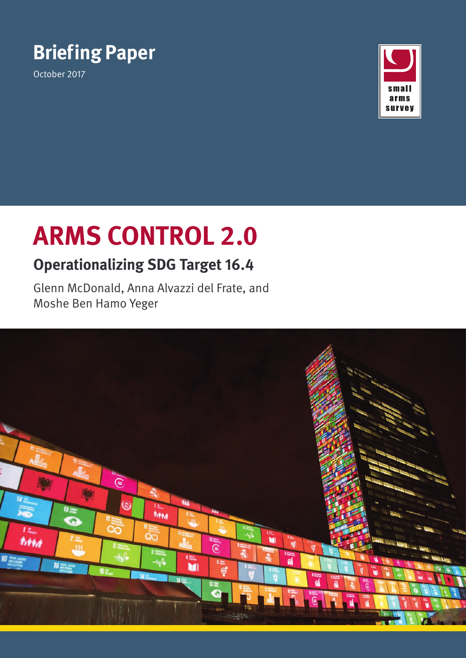# **Briefing Paper**

October 2017



# **ARMS CONTROL 2.0**

# **Operationalizing SDG Target 16.4**

Glenn McDonald, Anna Alvazzi del Frate, and Moshe Ben Hamo Yeger

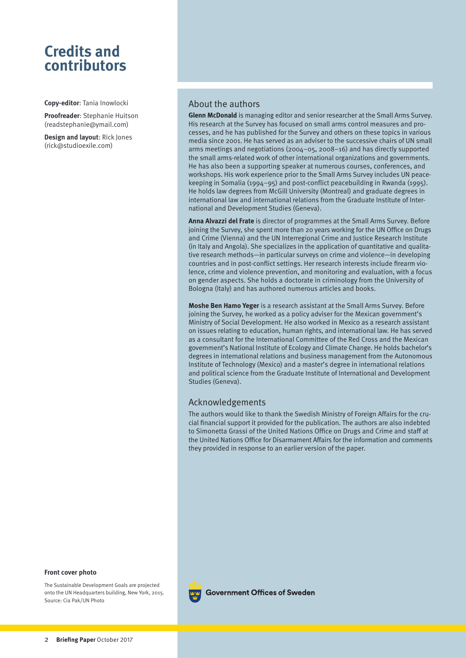# **Credits and contributors**

#### **Copy-editor**: Tania Inowlocki

**Proofreader**: Stephanie Huitson (readstephanie@ymail.com)

**Design and layout**: Rick Jones ([rick@studioexile.com](mailto:rick%40studioexile.com?subject=Enquiry))

#### About the authors

**Glenn McDonald** is managing editor and senior researcher at the Small Arms Survey. His research at the Survey has focused on small arms control measures and processes, and he has published for the Survey and others on these topics in various media since 2001. He has served as an adviser to the successive chairs of UN small arms meetings and negotiations (2004–05, 2008–16) and has directly supported the small arms-related work of other international organizations and governments. He has also been a supporting speaker at numerous courses, conferences, and workshops. His work experience prior to the Small Arms Survey includes UN peacekeeping in Somalia (1994–95) and post-conflict peacebuilding in Rwanda (1995). He holds law degrees from McGill University (Montreal) and graduate degrees in international law and international relations from the Graduate Institute of International and Development Studies (Geneva).

**Anna Alvazzi del Frate** is director of programmes at the Small Arms Survey. Before joining the Survey, she spent more than 20 years working for the UN Office on Drugs and Crime (Vienna) and the UN Interregional Crime and Justice Research Institute (in Italy and Angola). She specializes in the application of quantitative and qualitative research methods—in particular surveys on crime and violence—in developing countries and in post-conflict settings. Her research interests include firearm violence, crime and violence prevention, and monitoring and evaluation, with a focus on gender aspects. She holds a doctorate in criminology from the University of Bologna (Italy) and has authored numerous articles and books.

**Moshe Ben Hamo Yeger** is a research assistant at the Small Arms Survey. Before joining the Survey, he worked as a policy adviser for the Mexican government's Ministry of Social Development. He also worked in Mexico as a research assistant on issues relating to education, human rights, and international law. He has served as a consultant for the International Committee of the Red Cross and the Mexican government's National Institute of Ecology and Climate Change. He holds bachelor's degrees in international relations and business management from the Autonomous Institute of Technology (Mexico) and a master's degree in international relations and political science from the Graduate Institute of International and Development Studies (Geneva).

#### Acknowledgements

The authors would like to thank the Swedish Ministry of Foreign Affairs for the crucial financial support it provided for the publication. The authors are also indebted to Simonetta Grassi of the United Nations Office on Drugs and Crime and staff at the United Nations Office for Disarmament Affairs for the information and comments they provided in response to an earlier version of the paper.

#### **Front cover photo**

The Sustainable Development Goals are projected onto the UN Headquarters building, New York, 2015. Source: Cia Pak/UN Photo

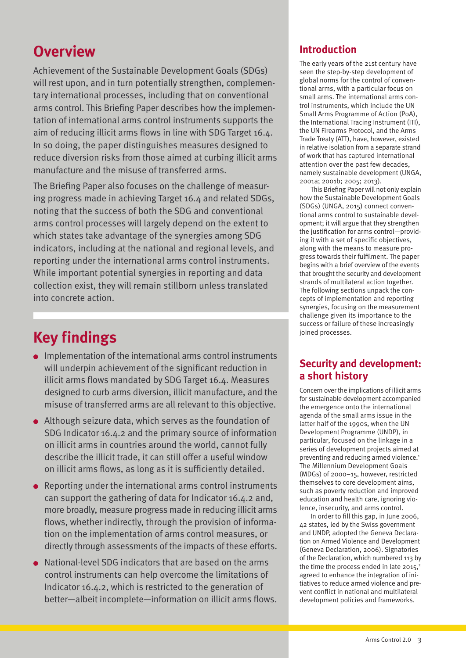# **Overview**

Achievement of the Sustainable Development Goals (SDGs) will rest upon, and in turn potentially strengthen, complementary international processes, including that on conventional arms control. This Briefing Paper describes how the implementation of international arms control instruments supports the aim of reducing illicit arms flows in line with SDG Target 16.4. In so doing, the paper distinguishes measures designed to reduce diversion risks from those aimed at curbing illicit arms manufacture and the misuse of transferred arms.

The Briefing Paper also focuses on the challenge of measuring progress made in achieving Target 16.4 and related SDGs, noting that the success of both the SDG and conventional arms control processes will largely depend on the extent to which states take advantage of the synergies among SDG indicators, including at the national and regional levels, and reporting under the international arms control instruments. While important potential synergies in reporting and data collection exist, they will remain stillborn unless translated into concrete action.

# **Key findings**

- Implementation of the international arms control instruments will underpin achievement of the significant reduction in illicit arms flows mandated by SDG Target 16.4. Measures designed to curb arms diversion, illicit manufacture, and the misuse of transferred arms are all relevant to this objective.
- Although seizure data, which serves as the foundation of SDG Indicator 16.4.2 and the primary source of information on illicit arms in countries around the world, cannot fully describe the illicit trade, it can still offer a useful window on illicit arms flows, as long as it is sufficiently detailed.
- Reporting under the international arms control instruments can support the gathering of data for Indicator 16.4.2 and, more broadly, measure progress made in reducing illicit arms flows, whether indirectly, through the provision of information on the implementation of arms control measures, or directly through assessments of the impacts of these efforts.
- National-level SDG indicators that are based on the arms control instruments can help overcome the limitations of Indicator 16.4.2, which is restricted to the generation of better—albeit incomplete—information on illicit arms flows.

## **Introduction**

The early years of the 21st century have seen the step-by-step development of global norms for the control of conventional arms, with a particular focus on small arms. The international arms control instruments, which include the UN Small Arms Programme of Action (PoA), the International Tracing Instrument (ITI), the UN Firearms Protocol, and the Arms Trade Treaty (ATT), have, however, existed in relative isolation from a separate strand of work that has captured international attention over the past few decades, namely sustainable development (UNGA, 2001a; 2001b; 2005; 2013).

This Briefing Paper will not only explain how the Sustainable Development Goals (SDGs) (UNGA, 2015) connect conventional arms control to sustainable development; it will argue that they strengthen the justification for arms control—providing it with a set of specific objectives, along with the means to measure progress towards their fulfilment. The paper begins with a brief overview of the events that brought the security and development strands of multilateral action together. The following sections unpack the concepts of implementation and reporting synergies, focusing on the measurement challenge given its importance to the success or failure of these increasingly joined processes.

## **Security and development: a short history**

Concern over the implications of illicit arms for sustainable development accompanied the emergence onto the international agenda of the small arms issue in the latter half of the 1990s, when the UN Development Programme (UNDP), in particular, focused on the linkage in a series of development projects aimed at preventing and reducing armed violence.<sup>1</sup> The Millennium Development Goals (MDGs) of 2000–15, however, restricted themselves to core development aims, such as poverty reduction and improved education and health care, ignoring violence, insecurity, and arms control.

In order to fill this gap, in June 2006, 42 states, led by the Swiss government and UNDP, adopted the Geneva Declaration on Armed Violence and Development (Geneva Declaration, 2006). Signatories of the Declaration, which numbered 113 by the time the process ended in late 2015,<sup>2</sup> agreed to enhance the integration of initiatives to reduce armed violence and prevent conflict in national and multilateral development policies and frameworks.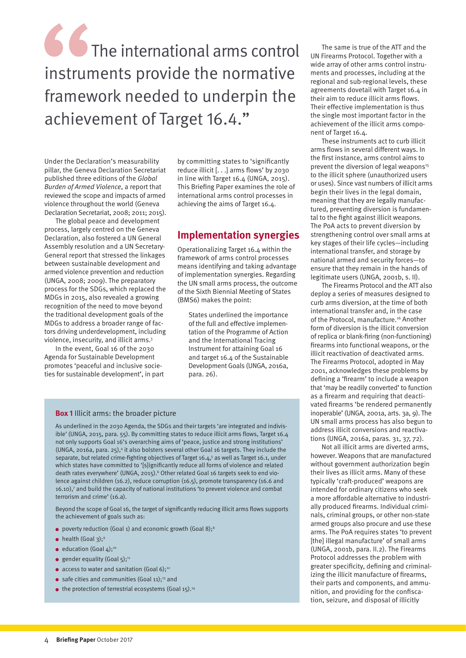# **The international arms control** instruments provide the normative framework needed to underpin the achievement of Target 16.4."

Under the Declaration's measurability pillar, the Geneva Declaration Secretariat published three editions of the *Global Burden of Armed Violence*, a report that reviewed the scope and impacts of armed violence throughout the world (Geneva Declaration Secretariat, 2008; 2011; 2015).

The global peace and development process, largely centred on the Geneva Declaration, also fostered a UN General Assembly resolution and a UN Secretary-General report that stressed the linkages between sustainable development and armed violence prevention and reduction (UNGA, 2008; 2009). The preparatory process for the SDGs, which replaced the MDGs in 2015, also revealed a growing recognition of the need to move beyond the traditional development goals of the MDGs to address a broader range of factors driving underdevelopment, including violence, insecurity, and illicit arms.3

In the event, Goal 16 of the 2030 Agenda for Sustainable Development promotes 'peaceful and inclusive societies for sustainable development', in part by committing states to 'significantly reduce illicit [. . .] arms flows' by 2030 in line with Target 16.4 (UNGA, 2015). This Briefing Paper examines the role of international arms control processes in achieving the aims of Target 16.4.

## **Implementation synergies**

Operationalizing Target 16.4 within the framework of arms control processes means identifying and taking advantage of implementation synergies. Regarding the UN small arms process, the outcome of the Sixth Biennial Meeting of States (BMS6) makes the point:

States underlined the importance of the full and effective implementation of the Programme of Action and the International Tracing Instrument for attaining Goal 16 and target 16.4 of the Sustainable Development Goals (UNGA, 2016a, para. 26).

#### **Box 1** Illicit arms: the broader picture

As underlined in the 2030 Agenda, the SDGs and their targets 'are integrated and indivisible' (UNGA, 2015, para. 55). By committing states to reduce illicit arms flows, Target 16.4 not only supports Goal 16's overarching aims of 'peace, justice and strong institutions'  $(UNGA, 2016a, 212, 25)$ ,<sup>4</sup> it also bolsters several other Goal 16 targets. They include the separate, but related crime-fighting objectives of Target 16.4,<sup>5</sup> as well as Target 16.1, under which states have committed to '[s]ignificantly reduce all forms of violence and related death rates everywhere' (UNGA, 2015).<sup>6</sup> Other related Goal 16 targets seek to end violence against children (16.2), reduce corruption (16.5), promote transparency (16.6 and 16.10),7 and build the capacity of national institutions 'to prevent violence and combat terrorism and crime' (16.a).

Beyond the scope of Goal 16, the target of significantly reducing illicit arms flows supports the achievement of goals such as:

- **•** poverty reduction (Goal 1) and economic growth (Goal 8):<sup>8</sup>
- $\bullet$  health (Goal 3);<sup>9</sup>
- $\bullet$  education (Goal 4);<sup>10</sup>
- gender equality (Goal  $5$ );<sup>11</sup>
- access to water and sanitation (Goal 6);<sup>12</sup>
- $\bullet$  safe cities and communities (Goal 11);<sup>13</sup> and
- $\bullet$  the protection of terrestrial ecosystems (Goal 15).<sup>14</sup>

The same is true of the ATT and the UN Firearms Protocol. Together with a wide array of other arms control instruments and processes, including at the regional and sub-regional levels, these agreements dovetail with Target 16.4 in their aim to reduce illicit arms flows. Their effective implementation is thus the single most important factor in the achievement of the illicit arms component of Target 16.4.

These instruments act to curb illicit arms flows in several different ways. In the first instance, arms control aims to prevent the diversion of legal weapons<sup>15</sup> to the illicit sphere (unauthorized users or uses). Since vast numbers of illicit arms begin their lives in the legal domain, meaning that they are legally manufactured, preventing diversion is fundamental to the fight against illicit weapons. The PoA acts to prevent diversion by strengthening control over small arms at key stages of their life cycles—including international transfer, and storage by national armed and security forces—to ensure that they remain in the hands of legitimate users (UNGA, 2001b, s. II).

The Firearms Protocol and the ATT also deploy a series of measures designed to curb arms diversion, at the time of both international transfer and, in the case of the Protocol, manufacture.<sup>16</sup> Another form of diversion is the illicit conversion of replica or blank-firing (non-functioning) firearms into functional weapons, or the illicit reactivation of deactivated arms. The Firearms Protocol, adopted in May 2001, acknowledges these problems by defining a 'firearm' to include a weapon that 'may be readily converted' to function as a firearm and requiring that deactivated firearms 'be rendered permanently inoperable' (UNGA, 2001a, arts. 3a, 9). The UN small arms process has also begun to address illicit conversions and reactivations (UNGA, 2016a, paras. 31, 37, 72).

Not all illicit arms are diverted arms, however. Weapons that are manufactured without government authorization begin their lives as illicit arms. Many of these typically 'craft-produced' weapons are intended for ordinary citizens who seek a more affordable alternative to industrially produced firearms. Individual criminals, criminal groups, or other non-state armed groups also procure and use these arms. The PoA requires states 'to prevent [the] illegal manufacture' of small arms (UNGA, 2001b, para. II.2). The Firearms Protocol addresses the problem with greater specificity, defining and criminalizing the illicit manufacture of firearms, their parts and components, and ammunition, and providing for the confiscation, seizure, and disposal of illicitly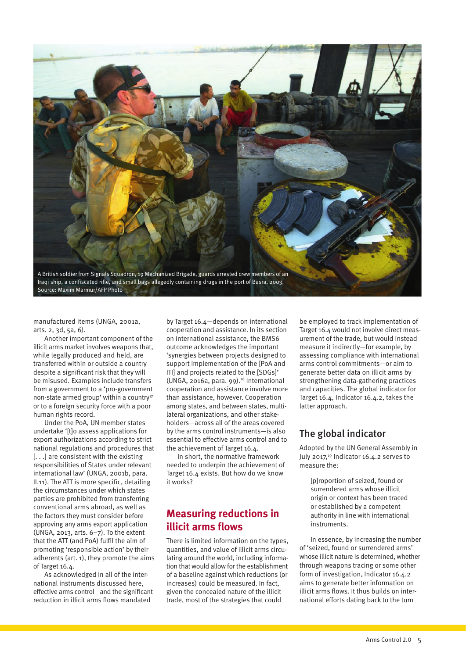

manufactured items (UNGA, 2001a, arts. 2, 3d, 5a, 6).

Another important component of the illicit arms market involves weapons that, while legally produced and held, are transferred within or outside a country despite a significant risk that they will be misused. Examples include transfers from a government to a 'pro-government non-state armed group' within a country<sup>17</sup> or to a foreign security force with a poor human rights record.

Under the PoA, UN member states undertake '[t]o assess applications for export authorizations according to strict national regulations and procedures that [. . .] are consistent with the existing responsibilities of States under relevant international law' (UNGA, 2001b, para. II.11). The ATT is more specific, detailing the circumstances under which states parties are prohibited from transferring conventional arms abroad, as well as the factors they must consider before approving any arms export application (UNGA, 2013, arts. 6–7). To the extent that the ATT (and PoA) fulfil the aim of promoting 'responsible action' by their adherents (art. 1), they promote the aims of Target 16.4.

As acknowledged in all of the international instruments discussed here, effective arms control—and the significant reduction in illicit arms flows mandated

by Target 16.4—depends on international cooperation and assistance. In its section on international assistance, the BMS6 outcome acknowledges the important 'synergies between projects designed to support implementation of the [PoA and ITI] and projects related to the [SDGs]' (UNGA, 2016a, para. 99).18 International cooperation and assistance involve more than assistance, however. Cooperation among states, and between states, multilateral organizations, and other stakeholders—across all of the areas covered by the arms control instruments—is also essential to effective arms control and to the achievement of Target 16.4.

In short, the normative framework needed to underpin the achievement of Target 16.4 exists. But how do we know it works?

## **Measuring reductions in illicit arms flows**

There is limited information on the types, quantities, and value of illicit arms circulating around the world, including information that would allow for the establishment of a baseline against which reductions (or increases) could be measured. In fact, given the concealed nature of the illicit trade, most of the strategies that could

be employed to track implementation of Target 16.4 would not involve direct measurement of the trade, but would instead measure it indirectly—for example, by assessing compliance with international arms control commitments—or aim to generate better data on illicit arms by strengthening data-gathering practices and capacities. The global indicator for Target 16.4, Indicator 16.4.2, takes the latter approach.

### The global indicator

Adopted by the UN General Assembly in July 2017,<sup>19</sup> Indicator 16.4.2 serves to measure the:

[p]roportion of seized, found or surrendered arms whose illicit origin or context has been traced or established by a competent authority in line with international instruments.

In essence, by increasing the number of 'seized, found or surrendered arms' whose illicit nature is determined, whether through weapons tracing or some other form of investigation, Indicator 16.4.2 aims to generate better information on illicit arms flows. It thus builds on international efforts dating back to the turn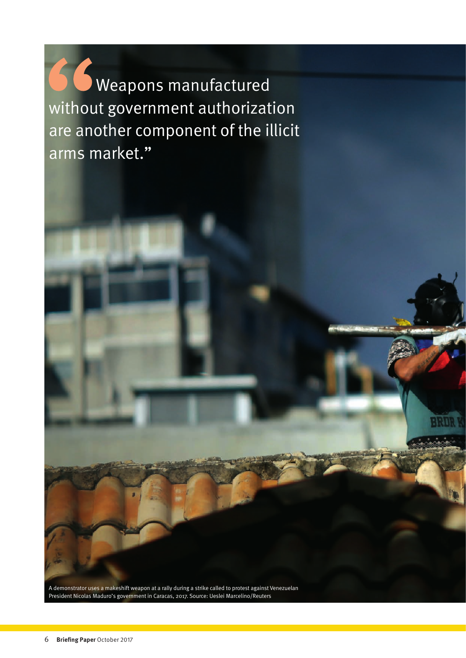Ko Weapons manufactured without government authorization are another component of the illicit arms market."

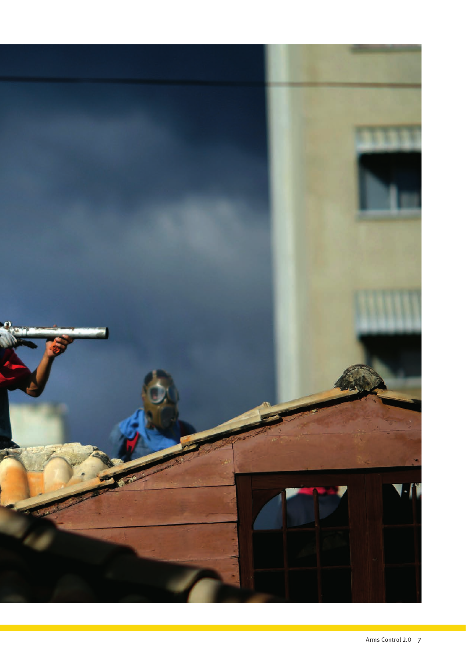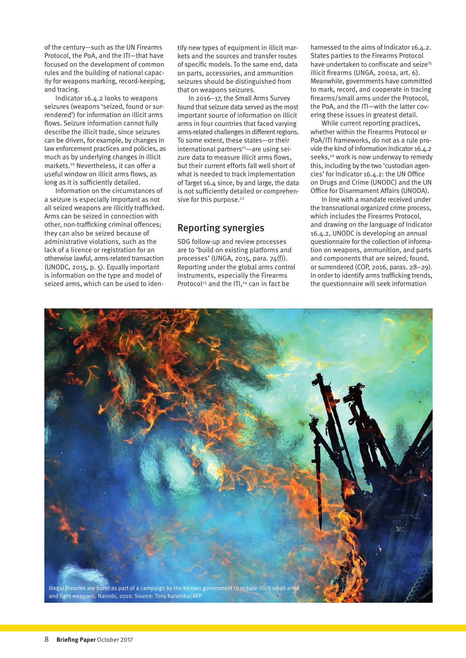of the century—such as the UN Firearms Protocol, the PoA, and the ITI—that have focused on the development of common rules and the building of national capacity for weapons marking, record-keeping, and tracing.

Indicator 16.4.2 looks to weapons seizures (weapons 'seized, found or surrendered') for information on illicit arms flows. Seizure information cannot fully describe the illicit trade, since seizures can be driven, for example, by changes in law enforcement practices and policies, as much as by underlying changes in illicit markets.20 Nevertheless, it can offer a useful window on illicit arms flows, as long as it is sufficiently detailed.

Information on the circumstances of a seizure is especially important as not all seized weapons are illicitly trafficked. Arms can be seized in connection with other, non-trafficking criminal offences; they can also be seized because of administrative violations, such as the lack of a licence or registration for an otherwise lawful, arms-related transaction (UNODC, 2015, p. 5). Equally important is information on the type and model of seized arms, which can be used to identify new types of equipment in illicit markets and the sources and transfer routes of specific models. To the same end, data on parts, accessories, and ammunition seizures should be distinguished from that on weapons seizures.

In 2016–17, the Small Arms Survey found that seizure data served as the most important source of information on illicit arms in four countries that faced varying arms-related challenges in different regions. To some extent, these states—or their international partners<sup>21</sup>—are using seizure data to measure illicit arms flows, but their current efforts fall well short of what is needed to track implementation of Target 16.4 since, by and large, the data is not sufficiently detailed or comprehensive for this purpose.<sup>22</sup>

#### Reporting synergies

SDG follow-up and review processes are to 'build on existing platforms and processes' (UNGA, 2015, para. 74(f)). Reporting under the global arms control instruments, especially the Firearms Protocol<sup>23</sup> and the ITI,<sup>24</sup> can in fact be

harnessed to the aims of Indicator 16.4.2. States parties to the Firearms Protocol have undertaken to confiscate and seize<sup>25</sup> illicit firearms (UNGA, 2001a, art. 6). Meanwhile, governments have committed to mark, record, and cooperate in tracing firearms/small arms under the Protocol, the PoA, and the ITI—with the latter covering these issues in greatest detail.

While current reporting practices, whether within the Firearms Protocol or PoA/ITI frameworks, do not as a rule provide the kind of information Indicator 16.4.2 seeks,<sup>26</sup> work is now underway to remedy this, including by the two 'custodian agencies' for Indicator 16.4.2: the UN Office on Drugs and Crime (UNODC) and the UN Office for Disarmament Affairs (UNODA).

In line with a mandate received under the transnational organized crime process, which includes the Firearms Protocol, and drawing on the language of Indicator 16.4.2, UNODC is developing an annual questionnaire for the collection of information on weapons, ammunition, and parts and components that are seized, found, or surrendered (COP, 2016, paras. 28–29). In order to identify arms trafficking trends, the questionnaire will seek information

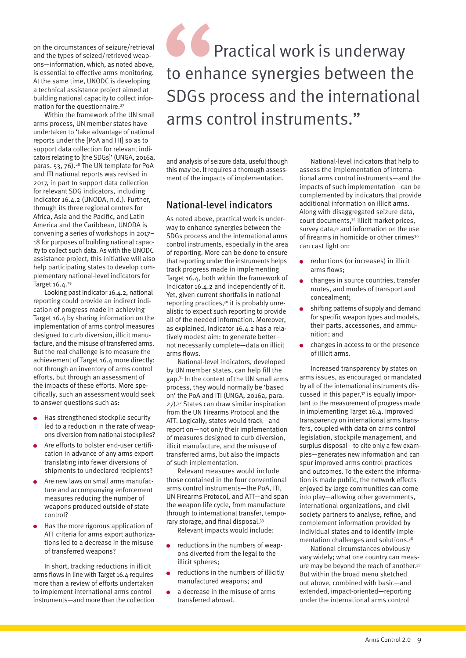on the circumstances of seizure/retrieval and the types of seized/retrieved weapons—information, which, as noted above, is essential to effective arms monitoring. At the same time, UNODC is developing a technical assistance project aimed at building national capacity to collect information for the questionnaire.<sup>27</sup>

Within the framework of the UN small arms process, UN member states have undertaken to 'take advantage of national reports under the [PoA and ITI] so as to support data collection for relevant indicators relating to [the SDGs]' (UNGA, 2016a, paras. 53, 76).<sup>28</sup> The UN template for PoA and ITI national reports was revised in 2017, in part to support data collection for relevant SDG indicators, including Indicator 16.4.2 (UNODA, n.d.). Further, through its three regional centres for Africa, Asia and the Pacific, and Latin America and the Caribbean, UNODA is convening a series of workshops in 2017– 18 for purposes of building national capacity to collect such data. As with the UNODC assistance project, this initiative will also help participating states to develop complementary national-level indicators for Target 16.4.<sup>29</sup>

Looking past Indicator 16.4.2, national reporting could provide an indirect indication of progress made in achieving Target 16.4 by sharing information on the implementation of arms control measures designed to curb diversion, illicit manufacture, and the misuse of transferred arms. But the real challenge is to measure the achievement of Target 16.4 more directly: not through an inventory of arms control efforts, but through an assessment of the impacts of these efforts. More specifically, such an assessment would seek to answer questions such as:

- Has strengthened stockpile security  $\bullet$ led to a reduction in the rate of weapons diversion from national stockpiles?
- Are efforts to bolster end-user certification in advance of any arms export translating into fewer diversions of shipments to undeclared recipients?
- Are new laws on small arms manufacture and accompanying enforcement measures reducing the number of weapons produced outside of state control?
- Has the more rigorous application of ATT criteria for arms export authorizations led to a decrease in the misuse of transferred weapons?

In short, tracking reductions in illicit arms flows in line with Target 16.4 requires more than a review of efforts undertaken to implement international arms control instruments—and more than the collection



and analysis of seizure data, useful though this may be. It requires a thorough assessment of the impacts of implementation.

### National-level indicators

As noted above, practical work is underway to enhance synergies between the SDGs process and the international arms control instruments, especially in the area of reporting. More can be done to ensure that reporting under the instruments helps track progress made in implementing Target 16.4, both within the framework of Indicator 16.4.2 and independently of it. Yet, given current shortfalls in national reporting practices,<sup>30</sup> it is probably unrealistic to expect such reporting to provide all of the needed information. Moreover, as explained, Indicator 16.4.2 has a relatively modest aim: to generate better not necessarily complete—data on illicit arms flows.

National-level indicators, developed by UN member states, can help fill the gap.31 In the context of the UN small arms process, they would normally be 'based on' the PoA and ITI (UNGA, 2016a, para. 27).32 States can draw similar inspiration from the UN Firearms Protocol and the ATT. Logically, states would track—and report on—not only their implementation of measures designed to curb diversion, illicit manufacture, and the misuse of transferred arms, but also the impacts of such implementation.

Relevant measures would include those contained in the four conventional arms control instruments—the PoA, ITI, UN Firearms Protocol, and ATT—and span the weapon life cycle, from manufacture through to international transfer, temporary storage, and final disposal.<sup>33</sup>

Relevant impacts would include:

- reductions in the numbers of weapons diverted from the legal to the illicit spheres;
- reductions in the numbers of illicitly manufactured weapons; and
- a decrease in the misuse of arms transferred abroad.

National-level indicators that help to assess the implementation of international arms control instruments—and the impacts of such implementation—can be complemented by indicators that provide additional information on illicit arms. Along with disaggregated seizure data, court documents,34 illicit market prices, survey data.<sup>35</sup> and information on the use of firearms in homicide or other crimes<sup>36</sup> can cast light on:

- reductions (or increases) in illicit arms flows;
- changes in source countries, transfer routes, and modes of transport and concealment;
- shifting patterns of supply and demand for specific weapon types and models, their parts, accessories, and ammunition; and
- changes in access to or the presence of illicit arms.

Increased transparency by states on arms issues, as encouraged or mandated by all of the international instruments discussed in this paper,<sup>37</sup> is equally important to the measurement of progress made in implementing Target 16.4. Improved transparency on international arms transfers, coupled with data on arms control legislation, stockpile management, and surplus disposal—to cite only a few examples—generates new information and can spur improved arms control practices and outcomes. To the extent the information is made public, the network effects enjoyed by large communities can come into play—allowing other governments, international organizations, and civil society partners to analyse, refine, and complement information provided by individual states and to identify implementation challenges and solutions.38

National circumstances obviously vary widely; what one country can measure may be beyond the reach of another.39 But within the broad menu sketched out above, combined with basic—and extended, impact-oriented—reporting under the international arms control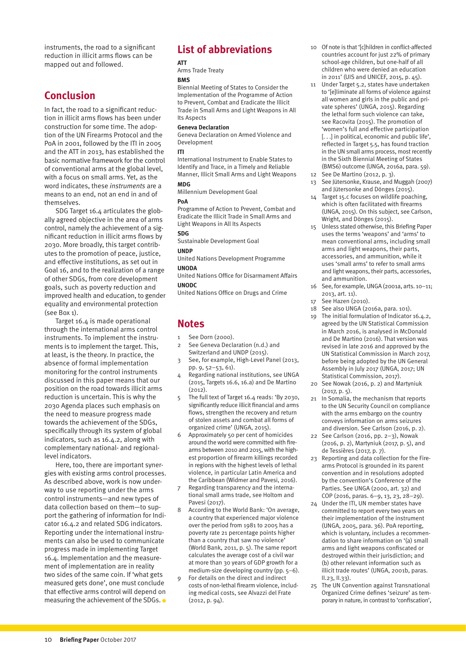instruments, the road to a significant reduction in illicit arms flows can be mapped out and followed.

## **Conclusion**

In fact, the road to a significant reduction in illicit arms flows has been under construction for some time. The adoption of the UN Firearms Protocol and the PoA in 2001, followed by the ITI in 2005 and the ATT in 2013, has established the basic normative framework for the control of conventional arms at the global level, with a focus on small arms. Yet, as the word indicates, these *instruments* are a means to an end, not an end in and of themselves.

SDG Target 16.4 articulates the globally agreed objective in the area of arms control, namely the achievement of a significant reduction in illicit arms flows by 2030. More broadly, this target contributes to the promotion of peace, justice, and effective institutions, as set out in Goal 16, and to the realization of a range of other SDGs, from core development goals, such as poverty reduction and improved health and education, to gender equality and environmental protection (see Box 1).

Target 16.4 is made operational through the international arms control instruments. To implement the instruments is to implement the target. This, at least, is the theory. In practice, the absence of formal implementation monitoring for the control instruments discussed in this paper means that our position on the road towards illicit arms reduction is uncertain. This is why the 2030 Agenda places such emphasis on the need to measure progress made towards the achievement of the SDGs, specifically through its system of global indicators, such as 16.4.2, along with complementary national- and regionallevel indicators.

Here, too, there are important synergies with existing arms control processes. As described above, work is now underway to use reporting under the arms control instruments—and new types of data collection based on them—to support the gathering of information for Indicator 16.4.2 and related SDG indicators. Reporting under the international instruments can also be used to communicate progress made in implementing Target 16.4. Implementation and the measurement of implementation are in reality two sides of the same coin. If 'what gets measured gets done', one must conclude that effective arms control will depend on measuring the achievement of the SDGs.

# **List of abbreviations**

**ATT**

Arms Trade Treaty

#### **BMS**

Biennial Meeting of States to Consider the Implementation of the Programme of Action to Prevent, Combat and Eradicate the Illicit Trade in Small Arms and Light Weapons in All Its Aspects

#### **Geneva Declaration**

Geneva Declaration on Armed Violence and Development

#### **ITI**

International Instrument to Enable States to Identify and Trace, in a Timely and Reliable Manner, Illicit Small Arms and Light Weapons **MDG**

Millennium Development Goal

#### **PoA**

Programme of Action to Prevent, Combat and Eradicate the Illicit Trade in Small Arms and Light Weapons in All Its Aspects

#### **SDG**

Sustainable Development Goal

#### **UNDP**

United Nations Development Programme **UNODA**

United Nations Office for Disarmament Affairs **UNODC**

United Nations Office on Drugs and Crime

#### **Notes**

- 1 See Dorn (2000).
- 2 See Geneva Declaration (n.d.) and Switzerland and UNDP (2015).
- 3 See, for example, High-Level Panel (2013, pp. 9, 52–53, 61).
- 4 Regarding national institutions, see UNGA (2015, Targets 16.6, 16.a) and De Martino (2012).
- 5 The full text of Target 16.4 reads: 'By 2030, significantly reduce illicit financial and arms flows, strengthen the recovery and return of stolen assets and combat all forms of organized crime' (UNGA, 2015).
- 6 Approximately 50 per cent of homicides around the world were committed with firearms between 2010 and 2015, with the highest proportion of firearm killings recorded in regions with the highest levels of lethal violence, in particular Latin America and the Caribbean (Widmer and Pavesi, 2016).
- 7 Regarding transparency and the international small arms trade, see Holtom and Pavesi (2017).
- 8 According to the World Bank: 'On average, a country that experienced major violence over the period from 1981 to 2005 has a poverty rate 21 percentage points higher than a country that saw no violence' (World Bank, 2011, p. 5). The same report calculates the average cost of a civil war at more than 30 years of GDP growth for a medium-size developing country (pp. 5–6).
- 9 For details on the direct and indirect costs of non-lethal firearm violence, including medical costs, see Alvazzi del Frate (2012, p. 94).
- 10 Of note is that '[c]hildren in conflict-affected countries account for just 22% of primary school-age children, but one-half of all children who were denied an education in 2011' (UIS and UNICEF, 2015, p. 45).
- 11 Under Target 5.2, states have undertaken to '[e]liminate all forms of violence against all women and girls in the public and private spheres' (UNGA, 2015). Regarding the lethal form such violence can take, see Racovita (2015). The promotion of 'women's full and effective participation [...] in political, economic and public life'. reflected in Target 5.5, has found traction in the UN small arms process, most recently in the Sixth Biennial Meeting of States (BMS6) outcome (UNGA, 2016a, para. 59).
- 12 See De Martino (2012, p. 3).
- 13 See Jütersonke, Krause, and Muggah (2007) and Jütersonke and Dönges (2015).
- 14 Target 15.c focuses on wildlife poaching, which is often facilitated with firearms (UNGA, 2015). On this subject, see Carlson, Wright, and Dönges (2015).
- 15 Unless stated otherwise, this Briefing Paper uses the terms 'weapons' and 'arms' to mean conventional arms, including small arms and light weapons, their parts, accessories, and ammunition, while it uses 'small arms' to refer to small arms and light weapons, their parts, accessories, and ammunition.
- 16 See, for example, UNGA (2001a, arts. 10–11; 2013, art. 11).
- 17 See Hazen (2010).
- 18 See also UNGA (2016a, para. 101).
- 19 The initial formulation of Indicator 16.4.2, agreed by the UN Statistical Commission in March 2016, is analysed in McDonald and De Martino (2016). That version was revised in late 2016 and approved by the UN Statistical Commission in March 2017, before being adopted by the UN General Assembly in July 2017 (UNGA, 2017; UN Statistical Commission, 2017).
- 20 See Nowak (2016, p. 2) and Martyniuk (2017, p. 5).
- 21 In Somalia, the mechanism that reports to the UN Security Council on compliance with the arms embargo on the country conveys information on arms seizures and diversion. See Carlson (2016, p. 2).
- 22 See Carlson (2016, pp. 2–3), Nowak (2016, p. 2), Martyniuk (2017, p. 5), and de Tessières (2017, p. 7).
- 23 Reporting and data collection for the Firearms Protocol is grounded in its parent convention and in resolutions adopted by the convention's Conference of the Parties. See UNGA (2000, art. 32) and COP (2016, paras. 6–9, 13, 23, 28–29).
- 24 Under the ITI, UN member states have committed to report every two years on their implementation of the instrument (UNGA, 2005, para. 36). PoA reporting, which is voluntary, includes a recommendation to share information on '(a) small arms and light weapons confiscated or destroyed within their jurisdiction; and (b) other relevant information such as illicit trade routes' (UNGA, 2001b, paras. II.23, II.33).
- 25 The UN Convention against Transnational Organized Crime defines 'seizure' as temporary in nature, in contrast to 'confiscation',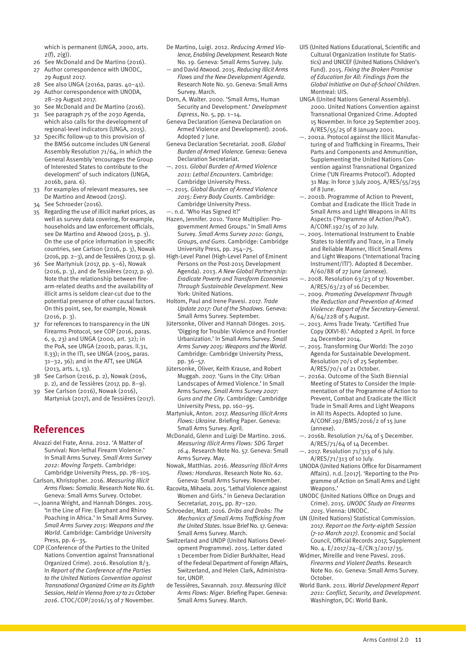which is permanent (UNGA, 2000, arts.  $2(f), 2(g)$ .

- 26 See McDonald and De Martino (2016).
- 27 Author correspondence with UNODC, 29 August 2017.
- 28 See also UNGA (2016a, paras. 40–41).
- 29 Author correspondence with UNODA, 28–29 August 2017.
- 30 See McDonald and De Martino (2016).
- 31 See paragraph 75 of the 2030 Agenda, which also calls for the development of regional-level indicators (UNGA, 2015).
- 32 Specific follow-up to this provision of the BMS6 outcome includes UN General Assembly Resolution 71/64, in which the General Assembly 'encourages the Group of Interested States to contribute to the development' of such indicators (UNGA, 2016b, para. 6).
- 33 For examples of relevant measures, see De Martino and Atwood (2015).
- 34 See Schroeder (2016).
- 35 Regarding the use of illicit market prices, as well as survey data covering, for example, households and law enforcement officials, see De Martino and Atwood (2015, p. 3). On the use of price information in specific countries, see Carlson (2016, p. 3), Nowak (2016, pp. 2–3), and de Tessières (2017, p. 9).
- 36 See Martyniuk (2017, pp. 5–6), Nowak (2016, p. 3), and de Tessières (2017, p. 9). Note that the relationship between firearm-related deaths and the availability of illicit arms is seldom clear-cut due to the potential presence of other causal factors. On this point, see, for example, Nowak (2016, p. 3).
- 37 For references to transparency in the UN Firearms Protocol, see COP (2016, paras. 6, 9, 23) and UNGA (2000, art. 32); in the PoA, see UNGA (2001b, paras. II.31, II.33); in the ITI, see UNGA (2005, paras. 31–32, 36); and in the ATT, see UNGA (2013, arts. 1, 13).
- 38 See Carlson (2016, p. 2), Nowak (2016, p. 2), and de Tessières (2017, pp. 8–9).
- 39 See Carlson (2016), Nowak (2016), Martyniuk (2017), and de Tessières (2017).

### **References**

- Alvazzi del Frate, Anna. 2012. ['A Matter of](http://www.smallarmssurvey.org/fileadmin/docs/A-Yearbook/2012/eng/Small-Arms-Survey-2012-Chapter-03-EN.pdf)  [Survival: Non-lethal Firearm Violence.'](http://www.smallarmssurvey.org/fileadmin/docs/A-Yearbook/2012/eng/Small-Arms-Survey-2012-Chapter-03-EN.pdf)  In Small Arms Survey. *Small Arms Survey 2012: Moving Targets*. Cambridge: Cambridge University Press, pp. 78–105.
- Carlson, Khristopher. 2016. *[Measuring Illicit](http://www.smallarmssurvey.org/fileadmin/docs/H-Research_Notes/SAS-Research-Note-61.pdf)  [Arms Flows: Somalia](http://www.smallarmssurvey.org/fileadmin/docs/H-Research_Notes/SAS-Research-Note-61.pdf)*. Research Note No. 61. Geneva: Small Arms Survey. October.
- —, Joanna Wright, and Hannah Dönges. 2015. ['In the Line of Fire: Elephant and Rhino](http://www.smallarmssurvey.org/fileadmin/docs/A-Yearbook/2015/eng/Small-Arms-Survey-2015-Chapter-01-EN.pdf)  [Poaching in Africa.'](http://www.smallarmssurvey.org/fileadmin/docs/A-Yearbook/2015/eng/Small-Arms-Survey-2015-Chapter-01-EN.pdf) In Small Arms Survey. *Small Arms Survey 2015: Weapons and the World*. Cambridge: Cambridge University Press, pp. 6–35.
- COP (Conference of the Parties to the United Nations Convention against Transnational Organized Crime). 2016. [Resolution 8/3.](http://www.un.org/Docs/journal/asp/ws.asp?m=CTOC/COP/2016/15)  In *Report of the Conference of the Parties to the United Nations Convention against Transnational Organized Crime on Its Eighth Session, Held in Vienna from 17 to 21 October 2016*. CTOC/COP/2016/15 of 7 November.
- De Martino, Luigi. 2012. *[Reducing Armed Vio](http://www.smallarmssurvey.org/fileadmin/docs/H-Research_Notes/SAS-Research-Note-19.pdf)[lence, Enabling Development](http://www.smallarmssurvey.org/fileadmin/docs/H-Research_Notes/SAS-Research-Note-19.pdf)*. Research Note No. 19. Geneva: Small Arms Survey. July.
- and David Atwood. 2015. *[Reducing Illicit Arms](http://www.smallarmssurvey.org/fileadmin/docs/H-Research_Notes/SAS-Research-Note-50.pdf)  [Flows and the New Development Agenda](http://www.smallarmssurvey.org/fileadmin/docs/H-Research_Notes/SAS-Research-Note-50.pdf)*. Research Note No. 50. Geneva: Small Arms Survey. March.
- Dorn, A. Walter. 2000. ['Small Arms, Human](http://walterdorn.org/pdf/SmallArms-HumanSecurity_Dorn_DevelopmentExpress_CIDA_1999.pdf)  [Security and Development.'](http://walterdorn.org/pdf/SmallArms-HumanSecurity_Dorn_DevelopmentExpress_CIDA_1999.pdf) *Development Express*, No. 5, pp. 1–14.
- [Geneva Declaration \(Geneva Declaration on](http://www.genevadeclaration.org/fileadmin/docs/GD-Declaration-091020-EN.pdf)  [Armed Violence and Development\). 2](http://www.genevadeclaration.org/fileadmin/docs/GD-Declaration-091020-EN.pdf)006. Adopted 7 June.
- Geneva Declaration Secretariat. 2008. *[Global](http://www.genevadeclaration.org/measurability/global-burden-of-armed-violence/global-burden-of-armed-violence-2008.html)  [Burden of Armed Violence](http://www.genevadeclaration.org/measurability/global-burden-of-armed-violence/global-burden-of-armed-violence-2008.html)*. Geneva: Geneva Declaration Secretariat.
- —. 2011. *Global [Burden of Armed Violence](http://www.genevadeclaration.org/measurability/global-burden-of-armed-violence/global-burden-of-armed-violence-2011.html)  [2011: Lethal Encounters](http://www.genevadeclaration.org/measurability/global-burden-of-armed-violence/global-burden-of-armed-violence-2011.html)*. Cambridge: Cambridge University Press.
- —. 2015. *[Global Burden of Armed Violence](http://www.genevadeclaration.org/measurability/global-burden-of-armed-violence/global-burden-of-armed-violence-2015.html)  [2015: Every Body Counts](http://www.genevadeclaration.org/measurability/global-burden-of-armed-violence/global-burden-of-armed-violence-2015.html)*. Cambridge: Cambridge University Press.
- —. n.d[. 'Who Has Signed It?'](http://www.genevadeclaration.org/the-geneva-declaration/who-has-signed-it.html)
- Hazen, Jennifer. 2010. ['Force Multiplier: Pro](http://www.smallarmssurvey.org/fileadmin/docs/A-Yearbook/2010/en/Small-Arms-Survey-2010-Chapter-10-EN.pdf)[government Armed Groups.' I](http://www.smallarmssurvey.org/fileadmin/docs/A-Yearbook/2010/en/Small-Arms-Survey-2010-Chapter-10-EN.pdf)n Small Arms Survey. *Small Arms Survey 2010: Gangs, Groups, and Guns*. Cambridge: Cambridge University Press, pp. 254–75.
- High-Level Panel (High-Level Panel of Eminent Persons on the Post-2015 Development Agenda). 2013. *[A New Global Partnership:](http://www.post2015hlp.org/wp-content/uploads/2013/05/UN-Report.pdf)  [Eradicate Poverty and Transform Economies](http://www.post2015hlp.org/wp-content/uploads/2013/05/UN-Report.pdf)  [Through Sustainable Development](http://www.post2015hlp.org/wp-content/uploads/2013/05/UN-Report.pdf)*. New York: United Nations.
- Holtom, Paul and Irene Pavesi. 2017. *[Trade](http://www.smallarmssurvey.org/fileadmin/docs/S-Trade-Update/SAS-Trade-Update-2017.pdf)  [Update 2017: Out of the Shadows.](http://www.smallarmssurvey.org/fileadmin/docs/S-Trade-Update/SAS-Trade-Update-2017.pdf)* Geneva: Small Arms Survey. September.
- Jütersonke, Oliver and Hannah Dönges. 2015. ['Digging for Trouble: Violence and Frontier](http://www.smallarmssurvey.org/fileadmin/docs/A-Yearbook/2015/eng/Small-Arms-Survey-2015-Chapter-02-EN.pdf)  [Urbanization.'](http://www.smallarmssurvey.org/fileadmin/docs/A-Yearbook/2015/eng/Small-Arms-Survey-2015-Chapter-02-EN.pdf) In Small Arms Survey. *Small Arms Survey 2015: Weapons and the World*. Cambridge: Cambridge University Press, pp. 36–57.
- Jütersonke, Oliver, Keith Krause, and Robert Muggah. 2007. ['Guns in the City: Urban](http://www.smallarmssurvey.org/fileadmin/docs/A-Yearbook/2007/en/full/Small-Arms-Survey-2007-Chapter-05-EN.pdf)  [Landscapes of Armed Violence.'](http://www.smallarmssurvey.org/fileadmin/docs/A-Yearbook/2007/en/full/Small-Arms-Survey-2007-Chapter-05-EN.pdf) In Small Arms Survey. *Small Arms Survey 2007: Guns and the City*. Cambridge: Cambridge University Press, pp. 160–95.
- Martyniuk, Anton. 2017. *[Measuring Illicit Arms](http://www.smallarmssurvey.org/fileadmin/docs/T-Briefing-Papers/SAS-BP3-Ukraine.pdf)  [Flows: Ukraine](http://www.smallarmssurvey.org/fileadmin/docs/T-Briefing-Papers/SAS-BP3-Ukraine.pdf)*. Briefing Paper. Geneva: Small Arms Survey. April.
- McDonald, Glenn and Luigi De Martino. 2016. *[Measuring Illicit Arms Flows: SDG Target](http://www.smallarmssurvey.org/fileadmin/docs/H-Research_Notes/SAS-Research-Note-57.pdf)  [16.4](http://www.smallarmssurvey.org/fileadmin/docs/H-Research_Notes/SAS-Research-Note-57.pdf)*. Research Note No. 57. Geneva: Small Arms Survey. May.
- Nowak, Matthias. 2016. *[Measuring Illicit Arms](http://www.smallarmssurvey.org/fileadmin/docs/H-Research_Notes/SAS-Research-Note-62.pdf)  [Flows: Honduras](http://www.smallarmssurvey.org/fileadmin/docs/H-Research_Notes/SAS-Research-Note-62.pdf)*. Research Note No. 62. Geneva: Small Arms Survey. November.
- Racovita, Mihaela. 2015[. 'Lethal Violence against](http://www.genevadeclaration.org/measurability/global-burden-of-armed-violence/gbav-2015/chapter-3.html)  [Women and Girls.'](http://www.genevadeclaration.org/measurability/global-burden-of-armed-violence/gbav-2015/chapter-3.html) In Geneva Declaration Secretariat, 2015, pp. 87–120.
- Schroeder, Matt. 2016. *[Dribs and Drabs: The](http://www.smallarmssurvey.org/fileadmin/docs/G-Issue-briefs/SAS-IB17-Mechanics-of-trafficking.pdf)  [Mechanics of Small Arms Trafficking from](http://www.smallarmssurvey.org/fileadmin/docs/G-Issue-briefs/SAS-IB17-Mechanics-of-trafficking.pdf)  [the United States](http://www.smallarmssurvey.org/fileadmin/docs/G-Issue-briefs/SAS-IB17-Mechanics-of-trafficking.pdf)*. Issue Brief No. 17. Geneva: Small Arms Survey. March.
- Switzerland and UNDP (United Nations Development Programme). 2015. [Letter dated](http://www.genevadeclaration.org/fileadmin/docs/News/Switzerland%20and%20UNDP%20on%20the%20GD.pdf)  [1 December from Didier Burkhalter, Head](http://www.genevadeclaration.org/fileadmin/docs/News/Switzerland%20and%20UNDP%20on%20the%20GD.pdf)  [of the Federal Department of Foreign Affairs,](http://www.genevadeclaration.org/fileadmin/docs/News/Switzerland%20and%20UNDP%20on%20the%20GD.pdf)  [Switzerland, and Helen Clark, Administra](http://www.genevadeclaration.org/fileadmin/docs/News/Switzerland%20and%20UNDP%20on%20the%20GD.pdf)[tor, UNDP.](http://www.genevadeclaration.org/fileadmin/docs/News/Switzerland%20and%20UNDP%20on%20the%20GD.pdf)
- de Tessières, Savannah. 2017. *[Measuring Illicit](http://www.smallarmssurvey.org/fileadmin/docs/T-Briefing-Papers/SAS-BP1-Niger.pdf)  [Arms Flows: Niger](http://www.smallarmssurvey.org/fileadmin/docs/T-Briefing-Papers/SAS-BP1-Niger.pdf)*. Briefing Paper. Geneva: Small Arms Survey. March.
- UIS (United Nations Educational, Scientific and Cultural Organization Institute for Statistics) and UNICEF (United Nations Children's Fund). 2015. *[Fixing the Broken Promise](http://unesdoc.unesco.org/images/0023/002315/231511e.pdf)  [of Education for All: Findings from the](http://unesdoc.unesco.org/images/0023/002315/231511e.pdf)  [Global Initiative on Out-of-School Children](http://unesdoc.unesco.org/images/0023/002315/231511e.pdf)*. Montreal: UIS.
- UNGA (United Nations General Assembly). 2000. [United Nations Convention against](http://www.unodc.org/documents/treaties/UNTOC/Publications/TOC%20Convention/TOCebook-e.pdf)  [Transnational Organized Crime.](http://www.unodc.org/documents/treaties/UNTOC/Publications/TOC%20Convention/TOCebook-e.pdf) Adopted 15 November. In force 29 September 2003. A/RES/55/25 of 8 January 2001.
- —. 2001a. [Protocol against the Illicit Manufac](http://www.unodc.org/pdf/crime/a_res_55/255e.pdf)[turing of and Trafficking in Firearms, Their](http://www.unodc.org/pdf/crime/a_res_55/255e.pdf)  [Parts and Components and Ammunition,](http://www.unodc.org/pdf/crime/a_res_55/255e.pdf)  [Supplementing the United Nations Con](http://www.unodc.org/pdf/crime/a_res_55/255e.pdf)[vention against Transnational Organized](http://www.unodc.org/pdf/crime/a_res_55/255e.pdf)  [Crime \('UN Firearms Protocol'\). A](http://www.unodc.org/pdf/crime/a_res_55/255e.pdf)dopted 31 May. In force 3 July 2005. A/RES/55/255 of 8 June.
- —. 2001b. [Programme of Action to Prevent,](http://www.poa-iss.org/PoA/PoA.aspx)  [Combat and Eradicate the Illicit Trade in](http://www.poa-iss.org/PoA/PoA.aspx)  [Small Arms and Light Weapons in All Its](http://www.poa-iss.org/PoA/PoA.aspx)  [Aspects \('Programme of Action/PoA'\).](http://www.poa-iss.org/PoA/PoA.aspx)  A/CONF.192/15 of 20 July.
- —. 2005. [International Instrument to Enable](http://www.poa-iss.org/InternationalTracing/InternationalTracing.aspx)  [States to Identify and Trace, in a Timely](http://www.poa-iss.org/InternationalTracing/InternationalTracing.aspx)  [and Reliable Manner, Illicit Small Arms](http://www.poa-iss.org/InternationalTracing/InternationalTracing.aspx)  [and Light Weapons \('International Tracing](http://www.poa-iss.org/InternationalTracing/InternationalTracing.aspx)  [Instrument/ITI'\). A](http://www.poa-iss.org/InternationalTracing/InternationalTracing.aspx)dopted 8 December. A/60/88 of 27 June (annexe).
- —. 2008. [Resolution 63/23 of 17 November.](http://www.un.org/en/ga/search/view_doc.asp?symbol=A/RES/63/23)  A/RES/63/23 of 16 December.
- —. 2009. *[Promoting Development Through](http://www.genevadeclaration.org/fileadmin/docs/UNSG-Report-Armed-Violence.pdf)  [the Reduction and Prevention of Armed](http://www.genevadeclaration.org/fileadmin/docs/UNSG-Report-Armed-Violence.pdf)  [Violence: Report of the Secretary-General](http://www.genevadeclaration.org/fileadmin/docs/UNSG-Report-Armed-Violence.pdf)*. A/64/228 of 5 August.
- —. 2013. Arms Trade Treaty[. 'Certified True](https://treaties.un.org/Pages/ViewDetails.aspx?src=IND&mtdsg_no=XXVI-8&chapter=26&clang=_en)  [Copy \(XXVI-8\).'](https://treaties.un.org/Pages/ViewDetails.aspx?src=IND&mtdsg_no=XXVI-8&chapter=26&clang=_en) Adopted 2 April. In force 24 December 2014.
- —. 2015. [Transforming Our World: The 2030](http://www.un.org/ga/search/view_doc.asp?symbol=A/RES/70/1&Lang=E)  [Agenda for Sustainable Development.](http://www.un.org/ga/search/view_doc.asp?symbol=A/RES/70/1&Lang=E)  Resolution 70/1 of 25 September. A/RES/70/1 of 21 October.
- —. 2016a. [Outcome of the Sixth Biennial](https://www.un.org/disarmament/bms6/)  [Meeting of States to Consider the Imple](https://www.un.org/disarmament/bms6/)[mentation of the Programme of Action to](https://www.un.org/disarmament/bms6/)  [Prevent, Combat and Eradicate the Illicit](https://www.un.org/disarmament/bms6/)  [Trade in Small Arms and Light Weapons](https://www.un.org/disarmament/bms6/)  [in All Its Aspects.](https://www.un.org/disarmament/bms6/) Adopted 10 June. A/CONF.192/BMS/2016/2 of 15 June (annexe).
- —. 2016b. [Resolution 71/64 of 5 December.](http://www.un.org/en/ga/search/view_doc.asp?symbol=A/RES/71/64)  A/RES/71/64 of 14 December.
- —. 2017. [Resolution 71/313 of 6 July.](http://www.un.org/en/ga/search/view_doc.asp?symbol=A/RES/71/313)  A/RES/71/313 of 10 July.
- UNODA (United Nations Office for Disarmament Affairs). n.d. [2017]. ['Reporting to the Pro](http://poa.un-arm.org/login)[gramme of Action on Small Arms and Light](http://poa.un-arm.org/login)  Weapons.
- UNODC (United Nations Office on Drugs and Crime). 2015. *[UNODC Study on Firearms](https://www.unodc.org/documents/firearms-protocol/UNODC_Study_on_Firearms_WEB.pdf)  [2015](https://www.unodc.org/documents/firearms-protocol/UNODC_Study_on_Firearms_WEB.pdf)*. Vienna: UNODC.
- UN (United Nations) Statistical Commission. 2017. *[Report on the Forty-eighth Session](https://unstats.un.org/unsd/statcom/48th-session/documents/Report-on-the-48th-session-of-the-statistical-commission-E.pdf)  [\(7-10 March 2017\)](https://unstats.un.org/unsd/statcom/48th-session/documents/Report-on-the-48th-session-of-the-statistical-commission-E.pdf)*. Economic and Social Council, Official Records 2017, Supplement No. 4. E/2017/24–E/CN.3/2017/35.
- Widmer, Mireille and Irene Pavesi. 2016. *[Firearms and Violent Deaths](http://www.smallarmssurvey.org/fileadmin/docs/H-Research_Notes/SAS-Research-Note-60.pdf)*. Research Note No. 60. Geneva: Small Arms Survey. October.
- World Bank. 2011. *[World Development Report](https://siteresources.worldbank.org/INTWDRS/Resources/WDR2011_Full_Text.pdf)  [2011: Conflict, Security, and Development](https://siteresources.worldbank.org/INTWDRS/Resources/WDR2011_Full_Text.pdf)*. Washington, DC: World Bank.